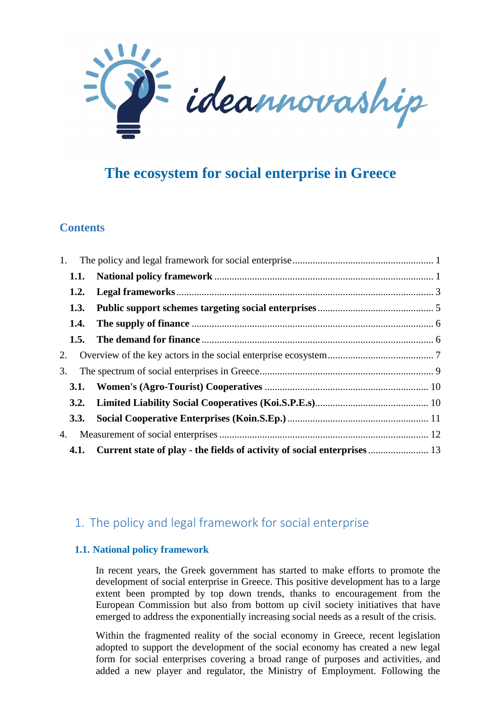

# **The ecosystem for social enterprise in Greece**

### **Contents**

| 1.          |  |
|-------------|--|
| 1.1.        |  |
| 1.2.        |  |
| <b>1.3.</b> |  |
| 1.4.        |  |
| 1.5.        |  |
| 2.          |  |
| 3.          |  |
| 3.1.        |  |
| 3.2.        |  |
| 3.3.        |  |
| 4.          |  |
|             |  |

# 1. The policy and legal framework for social enterprise

### **1.1. National policy framework**

In recent years, the Greek government has started to make efforts to promote the development of social enterprise in Greece. This positive development has to a large extent been prompted by top down trends, thanks to encouragement from the European Commission but also from bottom up civil society initiatives that have emerged to address the exponentially increasing social needs as a result of the crisis.

Within the fragmented reality of the social economy in Greece, recent legislation adopted to support the development of the social economy has created a new legal form for social enterprises covering a broad range of purposes and activities, and added a new player and regulator, the Ministry of Employment. Following the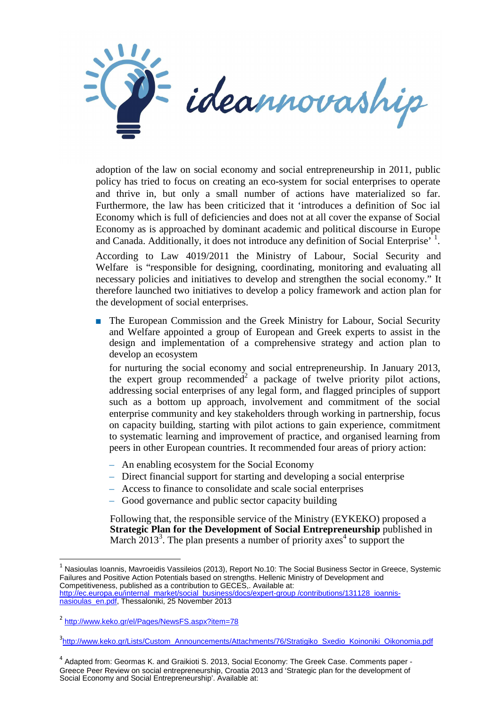

adoption of the law on social economy and social entrepreneurship in 2011, public policy has tried to focus on creating an eco-system for social enterprises to operate and thrive in, but only a small number of actions have materialized so far. Furthermore, the law has been criticized that it 'introduces a definition of Soc ial Economy which is full of deficiencies and does not at all cover the expanse of Social Economy as is approached by dominant academic and political discourse in Europe and Canada. Additionally, it does not introduce any definition of Social Enterprise<sup>, 1</sup>.

According to Law 4019/2011 the Ministry of Labour, Social Security and Welfare is "responsible for designing, coordinating, monitoring and evaluating all necessary policies and initiatives to develop and strengthen the social economy." It therefore launched two initiatives to develop a policy framework and action plan for the development of social enterprises.

The European Commission and the Greek Ministry for Labour, Social Security and Welfare appointed a group of European and Greek experts to assist in the design and implementation of a comprehensive strategy and action plan to develop an ecosystem

for nurturing the social economy and social entrepreneurship. In January 2013, the expert group recommended<sup>2</sup> a package of twelve priority pilot actions, addressing social enterprises of any legal form, and flagged principles of support such as a bottom up approach, involvement and commitment of the social enterprise community and key stakeholders through working in partnership, focus on capacity building, starting with pilot actions to gain experience, commitment to systematic learning and improvement of practice, and organised learning from peers in other European countries. It recommended four areas of priory action:

- An enabling ecosystem for the Social Economy
- Direct financial support for starting and developing a social enterprise
- Access to finance to consolidate and scale social enterprises
- Good governance and public sector capacity building

Following that, the responsible service of the Ministry (EYKEKO) proposed a **Strategic Plan for the Development of Social Entrepreneurship** published in March  $2013^3$ . The plan presents a number of priority axes<sup>4</sup> to support the

 $\overline{a}$ 

 $^{\rm 1}$  Nasioulas Ioannis, Mavroeidis Vassileios (2013), Report No.10: The Social Business Sector in Greece, Systemic Failures and Positive Action Potentials based on strengths. Hellenic Ministry of Development and Competitiveness, published as a contribution to GECES,. Available at: http://ec.europa.eu/internal\_market/social\_business/docs/expert-group /contributions/131128\_ioannisnasioulas\_en.pdf, Thessaloniki, 25 November 2013

<sup>&</sup>lt;sup>2</sup> http://www.keko.gr/el/Pages/NewsFS.aspx?item=78

<sup>3&</sup>lt;br>http://www.keko.gr/Lists/Custom\_Announcements/Attachments/76/Stratigiko\_Sxedio\_Koinoniki\_Oikonomia.pdf

<sup>&</sup>lt;sup>4</sup> Adapted from: Geormas K. and Graikioti S. 2013, Social Economy: The Greek Case. Comments paper -Greece Peer Review on social entrepreneurship, Croatia 2013 and 'Strategic plan for the development of Social Economy and Social Entrepreneurship'. Available at: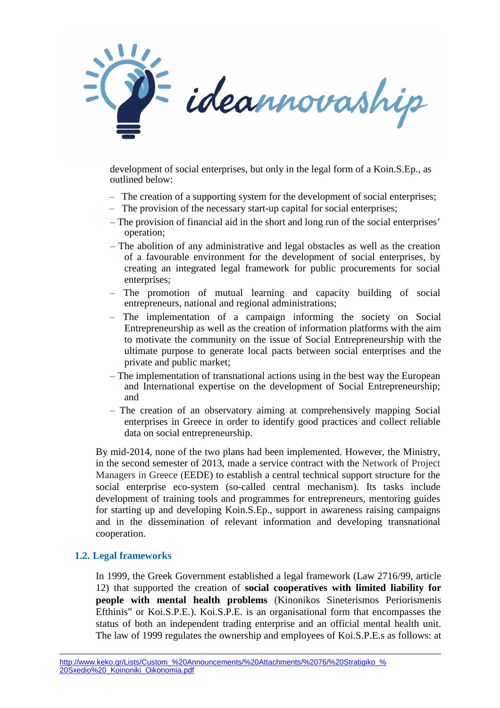

development of social enterprises, but only in the legal form of a Koin.S.Ep., as outlined below:

- The creation of a supporting system for the development of social enterprises;
- The provision of the necessary start-up capital for social enterprises;
- The provision of financial aid in the short and long run of the social enterprises' operation;
- The abolition of any administrative and legal obstacles as well as the creation of a favourable environment for the development of social enterprises, by creating an integrated legal framework for public procurements for social enterprises:
- The promotion of mutual learning and capacity building of social entrepreneurs, national and regional administrations;
- The implementation of a campaign informing the society on Social Entrepreneurship as well as the creation of information platforms with the aim to motivate the community on the issue of Social Entrepreneurship with the ultimate purpose to generate local pacts between social enterprises and the private and public market;
- The implementation of transnational actions using in the best way the European and International expertise on the development of Social Entrepreneurship; and
- The creation of an observatory aiming at comprehensively mapping Social enterprises in Greece in order to identify good practices and collect reliable data on social entrepreneurship.

By mid-2014, none of the two plans had been implemented. However, the Ministry, in the second semester of 2013, made a service contract with the Network of Project Managers in Greece (EEDE) to establish a central technical support structure for the social enterprise eco-system (so-called central mechanism). Its tasks include development of training tools and programmes for entrepreneurs, mentoring guides for starting up and developing Koin.S.Ep., support in awareness raising campaigns and in the dissemination of relevant information and developing transnational cooperation.

### **1.2. Legal frameworks**

 $\overline{a}$ 

In 1999, the Greek Government established a legal framework (Law 2716/99, article 12) that supported the creation of **social cooperatives with limited liability for people with mental health problems** (Kinonikos Sineterismos Periorismenis Efthinis" or Koi.S.P.E.). Koi.S.P.E. is an organisational form that encompasses the status of both an independent trading enterprise and an official mental health unit. The law of 1999 regulates the ownership and employees of Koi.S.P.E.s as follows: at

http://www.keko.gr/Lists/Custom\_%20Announcements/%20Attachments/%2076/%20Stratigiko\_% 20Sxedio%20\_Koinoniki\_Oikonomia.pdf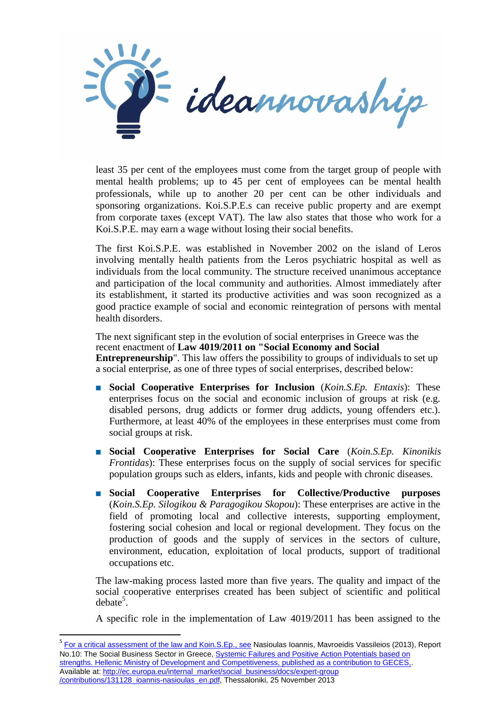

least 35 per cent of the employees must come from the target group of people with mental health problems; up to 45 per cent of employees can be mental health professionals, while up to another 20 per cent can be other individuals and sponsoring organizations. Koi.S.P.E.s can receive public property and are exempt from corporate taxes (except VAT). The law also states that those who work for a Koi.S.P.E. may earn a wage without losing their social benefits.

The first Koi.S.P.E. was established in November 2002 on the island of Leros involving mentally health patients from the Leros psychiatric hospital as well as individuals from the local community. The structure received unanimous acceptance and participation of the local community and authorities. Almost immediately after its establishment, it started its productive activities and was soon recognized as a good practice example of social and economic reintegration of persons with mental health disorders.

The next significant step in the evolution of social enterprises in Greece was the recent enactment of **Law 4019/2011 on "Social Economy and Social Entrepreneurship**". This law offers the possibility to groups of individuals to set up a social enterprise, as one of three types of social enterprises, described below:

- **Social Cooperative Enterprises for Inclusion** (*Koin.S.Ep. Entaxis*): These enterprises focus on the social and economic inclusion of groups at risk (e.g. disabled persons, drug addicts or former drug addicts, young offenders etc.). Furthermore, at least 40% of the employees in these enterprises must come from social groups at risk.
- **Social Cooperative Enterprises for Social Care** (*Koin.S.Ep. Kinonikis Frontidas*): These enterprises focus on the supply of social services for specific population groups such as elders, infants, kids and people with chronic diseases.
- **Social Cooperative Enterprises for Collective/Productive purposes**  (*Koin.S.Ep. Silogikou & Paragogikou Skopou*): These enterprises are active in the field of promoting local and collective interests, supporting employment, fostering social cohesion and local or regional development. They focus on the production of goods and the supply of services in the sectors of culture, environment, education, exploitation of local products, support of traditional occupations etc.

The law-making process lasted more than five years. The quality and impact of the social cooperative enterprises created has been subject of scientific and political  $debate<sup>5</sup>$ .

A specific role in the implementation of Law 4019/2011 has been assigned to the

<sup>5</sup> For a critical assessment of the law and Koin.S.Ep., see Nasioulas Ioannis, Mavroeidis Vassileios (2013), Report No.10: The Social Business Sector in Greece, **Systemic Failures and Positive Action Potentials based on** strengths. Hellenic Ministry of Development and Competitiveness, published as a contribution to GECES. Available at: http://ec.europa.eu/internal\_market/social\_business/docs/expert-group /contributions/131128\_ioannis-nasioulas\_en.pdf, Thessaloniki, 25 November 2013

l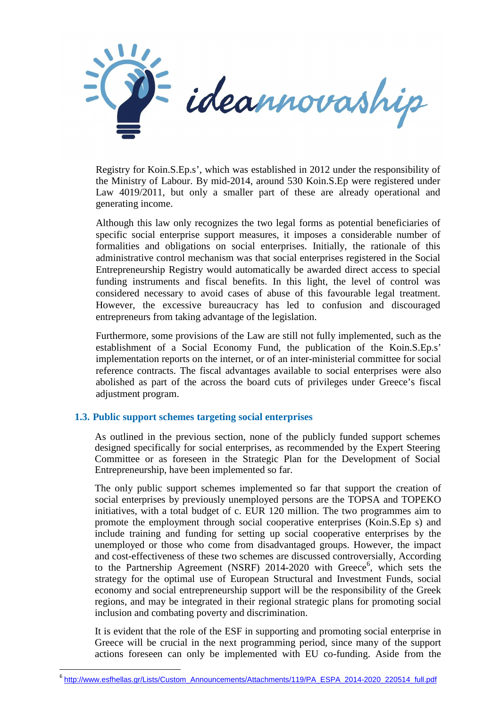

Registry for Koin.S.Ep.s', which was established in 2012 under the responsibility of the Ministry of Labour. By mid-2014, around 530 Koin.S.Ep were registered under Law 4019/2011, but only a smaller part of these are already operational and generating income.

Although this law only recognizes the two legal forms as potential beneficiaries of specific social enterprise support measures, it imposes a considerable number of formalities and obligations on social enterprises. Initially, the rationale of this administrative control mechanism was that social enterprises registered in the Social Entrepreneurship Registry would automatically be awarded direct access to special funding instruments and fiscal benefits. In this light, the level of control was considered necessary to avoid cases of abuse of this favourable legal treatment. However, the excessive bureaucracy has led to confusion and discouraged entrepreneurs from taking advantage of the legislation.

Furthermore, some provisions of the Law are still not fully implemented, such as the establishment of a Social Economy Fund, the publication of the Koin.S.Ep.s' implementation reports on the internet, or of an inter-ministerial committee for social reference contracts. The fiscal advantages available to social enterprises were also abolished as part of the across the board cuts of privileges under Greece's fiscal adjustment program.

### **1.3. Public support schemes targeting social enterprises**

l

As outlined in the previous section, none of the publicly funded support schemes designed specifically for social enterprises, as recommended by the Expert Steering Committee or as foreseen in the Strategic Plan for the Development of Social Entrepreneurship, have been implemented so far.

The only public support schemes implemented so far that support the creation of social enterprises by previously unemployed persons are the TOPSA and TOPEKO initiatives, with a total budget of c. EUR 120 million. The two programmes aim to promote the employment through social cooperative enterprises (Koin.S.Ep s) and include training and funding for setting up social cooperative enterprises by the unemployed or those who come from disadvantaged groups. However, the impact and cost-effectiveness of these two schemes are discussed controversially, According to the Partnership Agreement (NSRF) 2014-2020 with Greece<sup>6</sup>, which sets the strategy for the optimal use of European Structural and Investment Funds, social economy and social entrepreneurship support will be the responsibility of the Greek regions, and may be integrated in their regional strategic plans for promoting social inclusion and combating poverty and discrimination.

It is evident that the role of the ESF in supporting and promoting social enterprise in Greece will be crucial in the next programming period, since many of the support actions foreseen can only be implemented with EU co-funding. Aside from the

<sup>&</sup>lt;sup>6</sup> http://www.esfhellas.gr/Lists/Custom\_Announcements/Attachments/119/PA\_ESPA\_2014-2020\_220514\_full.pdf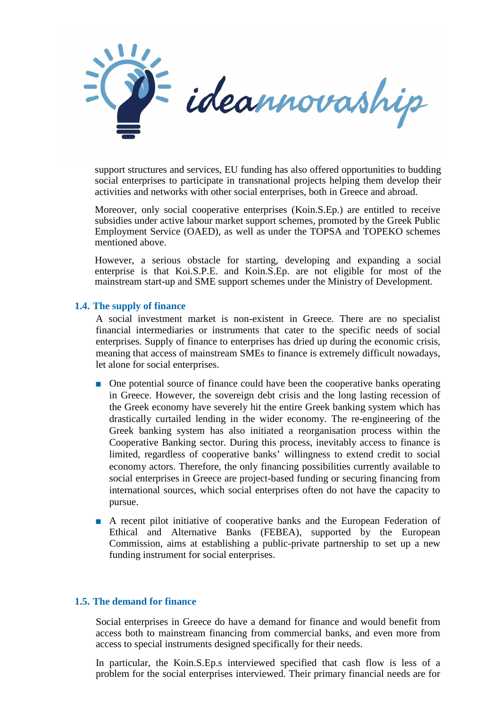

support structures and services, EU funding has also offered opportunities to budding social enterprises to participate in transnational projects helping them develop their activities and networks with other social enterprises, both in Greece and abroad.

Moreover, only social cooperative enterprises (Koin.S.Ep.) are entitled to receive subsidies under active labour market support schemes, promoted by the Greek Public Employment Service (OAED), as well as under the TOPSA and TOPEKO schemes mentioned above.

However, a serious obstacle for starting, developing and expanding a social enterprise is that Koi.S.P.E. and Koin.S.Ep. are not eligible for most of the mainstream start-up and SME support schemes under the Ministry of Development.

#### **1.4. The supply of finance**

A social investment market is non-existent in Greece. There are no specialist financial intermediaries or instruments that cater to the specific needs of social enterprises. Supply of finance to enterprises has dried up during the economic crisis, meaning that access of mainstream SMEs to finance is extremely difficult nowadays, let alone for social enterprises.

- One potential source of finance could have been the cooperative banks operating in Greece. However, the sovereign debt crisis and the long lasting recession of the Greek economy have severely hit the entire Greek banking system which has drastically curtailed lending in the wider economy. The re-engineering of the Greek banking system has also initiated a reorganisation process within the Cooperative Banking sector. During this process, inevitably access to finance is limited, regardless of cooperative banks' willingness to extend credit to social economy actors. Therefore, the only financing possibilities currently available to social enterprises in Greece are project-based funding or securing financing from international sources, which social enterprises often do not have the capacity to pursue.
- A recent pilot initiative of cooperative banks and the European Federation of Ethical and Alternative Banks (FEBEA), supported by the European Commission, aims at establishing a public-private partnership to set up a new funding instrument for social enterprises.

#### **1.5. The demand for finance**

Social enterprises in Greece do have a demand for finance and would benefit from access both to mainstream financing from commercial banks, and even more from access to special instruments designed specifically for their needs.

In particular, the Koin.S.Ep.s interviewed specified that cash flow is less of a problem for the social enterprises interviewed. Their primary financial needs are for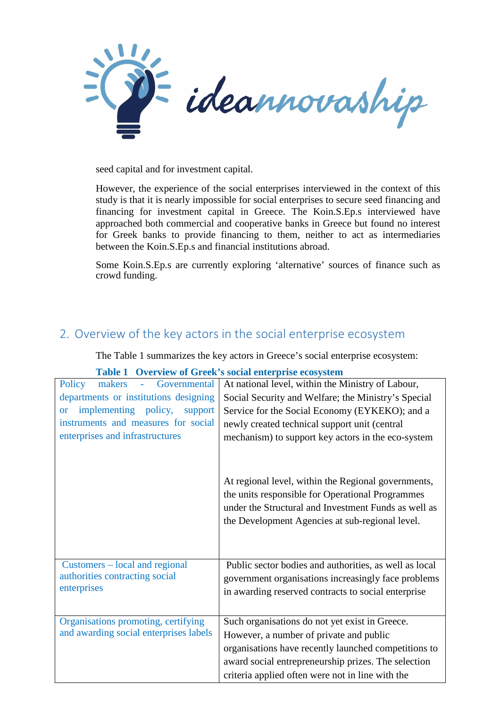

seed capital and for investment capital.

However, the experience of the social enterprises interviewed in the context of this study is that it is nearly impossible for social enterprises to secure seed financing and financing for investment capital in Greece. The Koin.S.Ep.s interviewed have approached both commercial and cooperative banks in Greece but found no interest for Greek banks to provide financing to them, neither to act as intermediaries between the Koin.S.Ep.s and financial institutions abroad.

Some Koin.S.Ep.s are currently exploring 'alternative' sources of finance such as crowd funding.

# 2. Overview of the key actors in the social enterprise ecosystem

The Table 1 summarizes the key actors in Greece's social enterprise ecosystem:

| Governmental<br>Policy<br>makers<br>$\omega_{\rm{max}}$ | At national level, within the Ministry of Labour,                                                                                                                                                                  |
|---------------------------------------------------------|--------------------------------------------------------------------------------------------------------------------------------------------------------------------------------------------------------------------|
| departments or institutions designing                   | Social Security and Welfare; the Ministry's Special                                                                                                                                                                |
| implementing policy,<br>support<br><b>or</b>            | Service for the Social Economy (EYKEKO); and a                                                                                                                                                                     |
| instruments and measures for social                     | newly created technical support unit (central                                                                                                                                                                      |
| enterprises and infrastructures                         | mechanism) to support key actors in the eco-system                                                                                                                                                                 |
|                                                         | At regional level, within the Regional governments,<br>the units responsible for Operational Programmes<br>under the Structural and Investment Funds as well as<br>the Development Agencies at sub-regional level. |
| Customers – local and regional                          | Public sector bodies and authorities, as well as local                                                                                                                                                             |
| authorities contracting social                          | government organisations increasingly face problems                                                                                                                                                                |
| enterprises                                             | in awarding reserved contracts to social enterprise                                                                                                                                                                |
|                                                         |                                                                                                                                                                                                                    |
| Organisations promoting, certifying                     | Such organisations do not yet exist in Greece.                                                                                                                                                                     |
| and awarding social enterprises labels                  | However, a number of private and public                                                                                                                                                                            |
|                                                         | organisations have recently launched competitions to                                                                                                                                                               |
|                                                         | award social entrepreneurship prizes. The selection                                                                                                                                                                |
|                                                         | criteria applied often were not in line with the                                                                                                                                                                   |

### **Table 1 Overview of Greek's social enterprise ecosystem**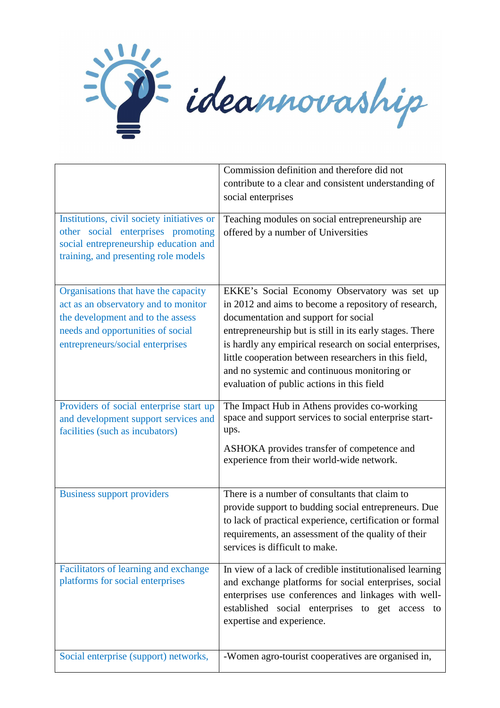

|                                            | Commission definition and therefore did not              |
|--------------------------------------------|----------------------------------------------------------|
|                                            | contribute to a clear and consistent understanding of    |
|                                            | social enterprises                                       |
|                                            |                                                          |
| Institutions, civil society initiatives or | Teaching modules on social entrepreneurship are          |
| other social enterprises promoting         | offered by a number of Universities                      |
| social entrepreneurship education and      |                                                          |
| training, and presenting role models       |                                                          |
|                                            |                                                          |
| Organisations that have the capacity       | EKKE's Social Economy Observatory was set up             |
| act as an observatory and to monitor       | in 2012 and aims to become a repository of research,     |
| the development and to the assess          | documentation and support for social                     |
| needs and opportunities of social          | entrepreneurship but is still in its early stages. There |
| entrepreneurs/social enterprises           | is hardly any empirical research on social enterprises,  |
|                                            | little cooperation between researchers in this field,    |
|                                            | and no systemic and continuous monitoring or             |
|                                            | evaluation of public actions in this field               |
|                                            |                                                          |
| Providers of social enterprise start up    | The Impact Hub in Athens provides co-working             |
| and development support services and       | space and support services to social enterprise start-   |
| facilities (such as incubators)            | ups.                                                     |
|                                            | ASHOKA provides transfer of competence and               |
|                                            | experience from their world-wide network.                |
|                                            |                                                          |
| <b>Business support providers</b>          | There is a number of consultants that claim to           |
|                                            | provide support to budding social entrepreneurs. Due     |
|                                            | to lack of practical experience, certification or formal |
|                                            | requirements, an assessment of the quality of their      |
|                                            | services is difficult to make.                           |
|                                            |                                                          |
| Facilitators of learning and exchange      | In view of a lack of credible institutionalised learning |
| platforms for social enterprises           | and exchange platforms for social enterprises, social    |
|                                            | enterprises use conferences and linkages with well-      |
|                                            | established social enterprises to get access to          |
|                                            | expertise and experience.                                |
|                                            |                                                          |
| Social enterprise (support) networks,      | -Women agro-tourist cooperatives are organised in,       |
|                                            |                                                          |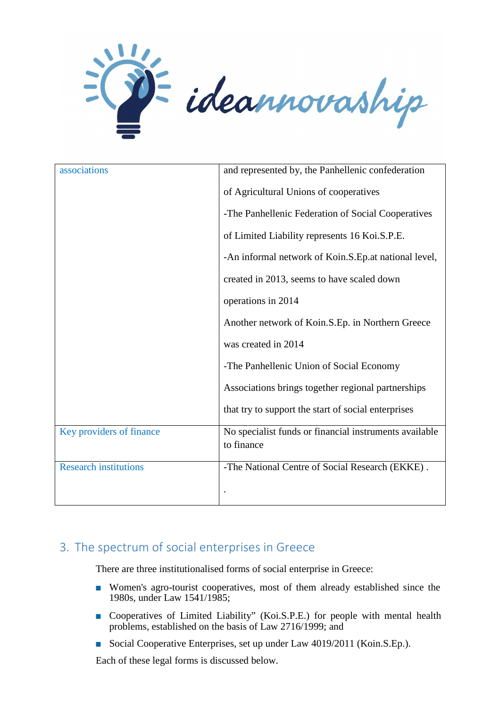

| associations                 | and represented by, the Panhellenic confederation                    |
|------------------------------|----------------------------------------------------------------------|
|                              | of Agricultural Unions of cooperatives                               |
|                              | -The Panhellenic Federation of Social Cooperatives                   |
|                              | of Limited Liability represents 16 Koi.S.P.E.                        |
|                              | -An informal network of Koin.S.Ep.at national level,                 |
|                              | created in 2013, seems to have scaled down                           |
|                              | operations in 2014                                                   |
|                              | Another network of Koin.S.Ep. in Northern Greece                     |
|                              | was created in 2014                                                  |
|                              | -The Panhellenic Union of Social Economy                             |
|                              | Associations brings together regional partnerships                   |
|                              | that try to support the start of social enterprises                  |
| Key providers of finance     | No specialist funds or financial instruments available<br>to finance |
| <b>Research institutions</b> | -The National Centre of Social Research (EKKE).                      |
|                              |                                                                      |

# 3. The spectrum of social enterprises in Greece

There are three institutionalised forms of social enterprise in Greece:

- Women's agro-tourist cooperatives, most of them already established since the 1980s, under Law 1541/1985;
- Cooperatives of Limited Liability" (Koi.S.P.E.) for people with mental health problems, established on the basis of Law 2716/1999; and
- Social Cooperative Enterprises, set up under Law 4019/2011 (Koin.S.Ep.).

Each of these legal forms is discussed below.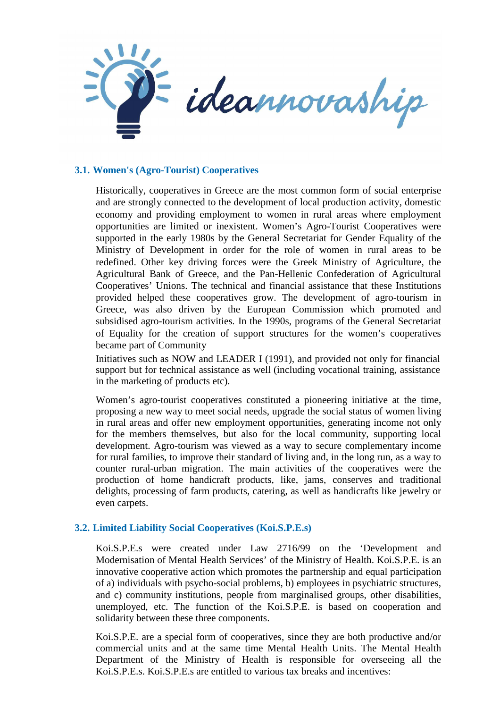

### **3.1. Women's (Agro-Tourist) Cooperatives**

Historically, cooperatives in Greece are the most common form of social enterprise and are strongly connected to the development of local production activity, domestic economy and providing employment to women in rural areas where employment opportunities are limited or inexistent. Women's Agro-Tourist Cooperatives were supported in the early 1980s by the General Secretariat for Gender Equality of the Ministry of Development in order for the role of women in rural areas to be redefined. Other key driving forces were the Greek Ministry of Agriculture, the Agricultural Bank of Greece, and the Pan-Hellenic Confederation of Agricultural Cooperatives' Unions. The technical and financial assistance that these Institutions provided helped these cooperatives grow. The development of agro-tourism in Greece, was also driven by the European Commission which promoted and subsidised agro-tourism activities*.* In the 1990s, programs of the General Secretariat of Equality for the creation of support structures for the women's cooperatives became part of Community

Initiatives such as NOW and LEADER I (1991), and provided not only for financial support but for technical assistance as well (including vocational training, assistance in the marketing of products etc).

Women's agro-tourist cooperatives constituted a pioneering initiative at the time, proposing a new way to meet social needs, upgrade the social status of women living in rural areas and offer new employment opportunities, generating income not only for the members themselves, but also for the local community, supporting local development. Agro-tourism was viewed as a way to secure complementary income for rural families, to improve their standard of living and, in the long run, as a way to counter rural-urban migration. The main activities of the cooperatives were the production of home handicraft products, like, jams, conserves and traditional delights, processing of farm products, catering, as well as handicrafts like jewelry or even carpets.

### **3.2. Limited Liability Social Cooperatives (Koi.S.P.E.s)**

Koi.S.P.E.s were created under Law 2716/99 on the 'Development and Modernisation of Mental Health Services' of the Ministry of Health. Koi.S.P.E. is an innovative cooperative action which promotes the partnership and equal participation of a) individuals with psycho-social problems, b) employees in psychiatric structures, and c) community institutions, people from marginalised groups, other disabilities, unemployed, etc. The function of the Koi.S.P.E. is based on cooperation and solidarity between these three components.

Koi.S.P.E. are a special form of cooperatives, since they are both productive and/or commercial units and at the same time Mental Health Units. The Mental Health Department of the Ministry of Health is responsible for overseeing all the Koi.S.P.E.s. Koi.S.P.E.s are entitled to various tax breaks and incentives: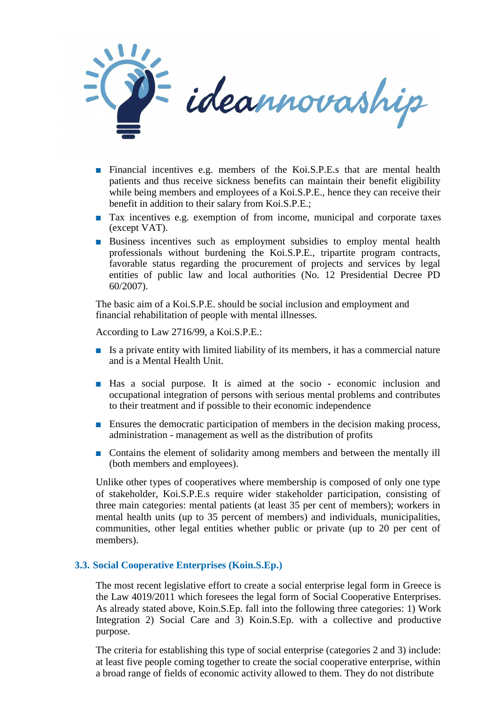

- Financial incentives e.g. members of the Koi.S.P.E.s that are mental health patients and thus receive sickness benefits can maintain their benefit eligibility while being members and employees of a Koi.S.P.E., hence they can receive their benefit in addition to their salary from Koi.S.P.E.;
- Tax incentives e.g. exemption of from income, municipal and corporate taxes (except VAT).
- Business incentives such as employment subsidies to employ mental health professionals without burdening the Koi.S.P.E., tripartite program contracts, favorable status regarding the procurement of projects and services by legal entities of public law and local authorities (No. 12 Presidential Decree PD 60/2007).

The basic aim of a Koi.S.P.E. should be social inclusion and employment and financial rehabilitation of people with mental illnesses.

According to Law 2716/99, a Koi.S.P.E.:

- Is a private entity with limited liability of its members, it has a commercial nature and is a Mental Health Unit.
- Has a social purpose. It is aimed at the socio economic inclusion and occupational integration of persons with serious mental problems and contributes to their treatment and if possible to their economic independence
- Ensures the democratic participation of members in the decision making process, administration - management as well as the distribution of profits
- Contains the element of solidarity among members and between the mentally ill (both members and employees).

Unlike other types of cooperatives where membership is composed of only one type of stakeholder, Koi.S.P.E.s require wider stakeholder participation, consisting of three main categories: mental patients (at least 35 per cent of members); workers in mental health units (up to 35 percent of members) and individuals, municipalities, communities, other legal entities whether public or private (up to 20 per cent of members).

### **3.3. Social Cooperative Enterprises (Koin.S.Ep.)**

The most recent legislative effort to create a social enterprise legal form in Greece is the Law 4019/2011 which foresees the legal form of Social Cooperative Enterprises. As already stated above, Koin.S.Ep. fall into the following three categories: 1) Work Integration 2) Social Care and 3) Koin.S.Ep. with a collective and productive purpose.

The criteria for establishing this type of social enterprise (categories 2 and 3) include: at least five people coming together to create the social cooperative enterprise, within a broad range of fields of economic activity allowed to them. They do not distribute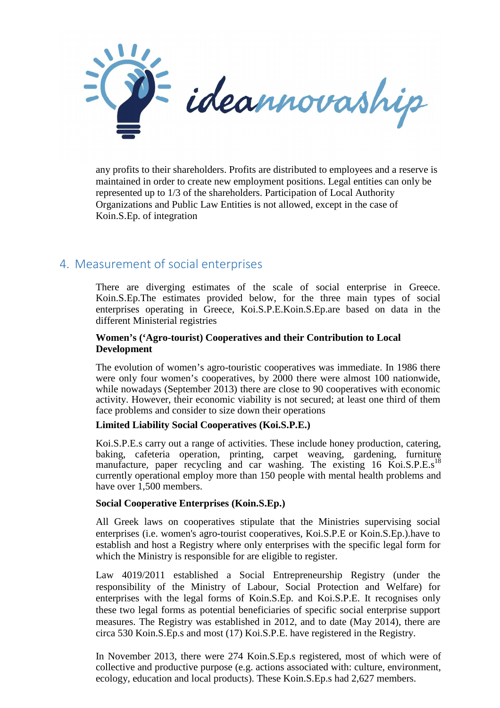

any profits to their shareholders. Profits are distributed to employees and a reserve is maintained in order to create new employment positions. Legal entities can only be represented up to 1/3 of the shareholders. Participation of Local Authority Organizations and Public Law Entities is not allowed, except in the case of Koin.S.Ep. of integration

## 4. Measurement of social enterprises

There are diverging estimates of the scale of social enterprise in Greece. Koin.S.Ep.The estimates provided below, for the three main types of social enterprises operating in Greece, Koi.S.P.E.Koin.S.Ep.are based on data in the different Ministerial registries

### **Women's ('Agro-tourist) Cooperatives and their Contribution to Local Development**

The evolution of women's agro-touristic cooperatives was immediate. In 1986 there were only four women's cooperatives, by 2000 there were almost 100 nationwide, while nowadays (September 2013) there are close to 90 cooperatives with economic activity. However, their economic viability is not secured; at least one third of them face problems and consider to size down their operations

### **Limited Liability Social Cooperatives (Koi.S.P.E.)**

Koi.S.P.E.s carry out a range of activities. These include honey production, catering, baking, cafeteria operation, printing, carpet weaving, gardening, furniture manufacture, paper recycling and car washing. The existing  $16$  Koi.S.P.E.s<sup>18</sup> currently operational employ more than 150 people with mental health problems and have over 1,500 members.

#### **Social Cooperative Enterprises (Koin.S.Ep.)**

All Greek laws on cooperatives stipulate that the Ministries supervising social enterprises (i.e. women's agro-tourist cooperatives, Koi.S.P.E or Koin.S.Ep.).have to establish and host a Registry where only enterprises with the specific legal form for which the Ministry is responsible for are eligible to register.

Law 4019/2011 established a Social Entrepreneurship Registry (under the responsibility of the Ministry of Labour, Social Protection and Welfare) for enterprises with the legal forms of Koin.S.Ep. and Koi.S.P.E. It recognises only these two legal forms as potential beneficiaries of specific social enterprise support measures. The Registry was established in 2012, and to date (May 2014), there are circa 530 Koin.S.Ep.s and most (17) Koi.S.P.E. have registered in the Registry.

In November 2013, there were 274 Koin.S.Ep.s registered, most of which were of collective and productive purpose (e.g. actions associated with: culture, environment, ecology, education and local products). These Koin.S.Ep.s had 2,627 members.